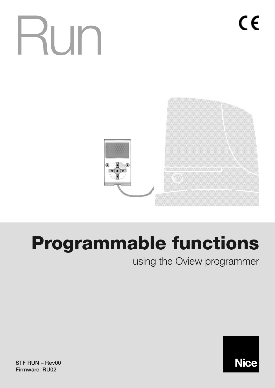# Run



# **Programmable functions**

using the Oview programmer



**STF RUN – Rev00 Firmware: RU02**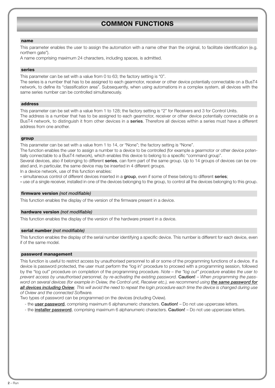# **COMMON FUNCTIONS**

#### **name**

This parameter enables the user to assign the automation with a name other than the original, to facilitate identification (e.g. northern gate").

A name comprising maximum 24 characters, including spaces, is admitted.

#### **series**

This parameter can be set with a value from 0 to 63; the factory setting is "0".

The series is a number that has to be assigned to each gearmotor, receiver or other device potentially connectable on a BusT4 network, to define its "classification area". Subsequently, when using automations in a complex system, all devices with the same series number can be controlled simultaneously.

#### **address**

This parameter can be set with a value from 1 to 128; the factory setting is "2" for Receivers and 3 for Control Units. The address is a number that has to be assigned to each gearmotor, receiver or other device potentially connectable on a BusT4 network, to distinguish it from other devices in a **series**. Therefore all devices within a series must have a different address from one another.

#### **group**

This parameter can be set with a value from 1 to 14, or "None"; the factory setting is "None".

The function enables the user to assign a number to a device to be controlled (for example a gearmotor or other device potentially connectable to a BusT4 network), which enables this device to belong to a specific "command group".

Several devices, also if belonging to different **series**, can form part of the same group. Up to 14 groups of devices can be created and, in particular, the same device may be inserted in 4 different groups.

In a device network, use of this function enables:

**-** simultaneous control of different devices inserted in a **group**, even if some of these belong to different **series**;

**-** use of a single receiver, installed in one of the devices belonging to the group, to control all the devices belonging to this group.

#### **firmware version** *(not modifiable)*

This function enables the display of the version of the firmware present in a device.

#### **hardware version** *(not modifiable)*

This function enables the display of the version of the hardware present in a device.

#### **serial number** *(not modifiable)*

This function enables the display of the serial number identifying a specific device. This number is different for each device, even if of the same model.

#### **password management**

This function is useful to restrict access by unauthorised personnel to all or some of the programming functions of a device. If a device is password protected, the user must perform the "log in" procedure to proceed with a programming session, followed by the "log out" procedure on completion of the programming procedure. *Note – the "log out" procedure enables the user to prevent access by unauthorised personnel, by re-activating the existing password.* **Caution!** – *When programming the password on several devices (for example in Oview, the Control unit, Receiver etc.), we recommend using the same password for all devices including Oview. This will avoid the need to repeat the login procedure each time the device is changed during use of Oview and the connected Software.*

Two types of password can be programmed on the devices (including Oview).

- the **user password**, comprising maximum 6 alphanumeric characters. **Caution!** Do not use uppercase letters.
- the **installer password**, comprising maximum 6 alphanumeric characters. **Caution!** Do not use uppercase letters.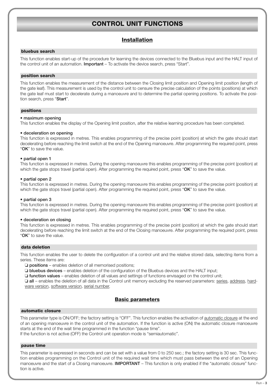# **CONTROL UNIT FUNCTIONS**

# **Installation**

#### **bluebus search**

This function enables start-up of the procedure for learning the devices connected to the Bluebus input and the HALT input of the control unit of an automation. **Important** – To activate the device search, press "Start".

#### **position search**

This function enables the measurement of the distance between the Closing limit position and Opening limit position (length of the gate leaf). This measurement is used by the control unit to censure the precise calculation of the points (positions) at which the gate leaf must start to decelerate during a manoeuvre and to determine the partial opening positions. To activate the position search, press "**Start**".

#### **positions**

#### • **maximum opening**

This function enables the display of the Opening limit position, after the relative learning procedure has been completed.

#### • **deceleration on opening**

This function is expressed in metres. This enables programming of the precise point (position) at which the gate should start decelerating before reaching the limit switch at the end of the Opening manoeuvre. After programming the required point, press "**OK**" to save the value.

#### • **partial open 1**

This function is expressed in metres. During the opening manoeuvre this enables programming of the precise point (position) at which the gate stops travel (partial open). After programming the required point, press "**OK**" to save the value.

#### • **partial open 2**

This function is expressed in metres. During the opening manoeuvre this enables programming of the precise point (position) at which the gate stops travel (partial open). After programming the required point, press "**OK**" to save the value.

#### • **partial open 3**

This function is expressed in metres. During the opening manoeuvre this enables programming of the precise point (position) at which the gate stops travel (partial open). After programming the required point, press "**OK**" to save the value.

#### • **deceleration on closing**

This function is expressed in metres. This enables programming of the precise point (position) at which the gate should start decelerating before reaching the limit switch at the end of the Closing manoeuvre. After programming the required point, press "**OK**" to save the value.

#### **data deletion**

This function enables the user to delete the configuration of a control unit and the relative stored data, selecting items from a series. These items are:

❏ **positions** – enables deletion of all memorised positions;

❏ **bluebus devices** – enables deletion of the configuration of the Bluebus devices and the HALT input;

❏ **function values** – enables deletion of all values and settings of functions envisaged on the control unit;

❏ **all** – enables the deletion of all data in the Control unit memory excluding the reserved parameters: series, address, hardware version, software version, serial number.

# **Basic parameters**

#### **automatic closure**

This parameter type is ON/OFF; the factory setting is "OFF". This function enables the activation of automatic closure at the end of an opening manoeuvre in the control unit of the automation. If the function is active (ON) the automatic closure manoeuvre starts at the end of the wait time programmed in the function "pause time".

If the function is not active (OFF) the Control unit operation mode is "semiautomatic".

#### **pause time**

This parameter is expressed in seconds and can be set with a value from 0 to 250 sec.; the factory setting is 30 sec. This function enables programming on the Control unit of the required wait time which must pass between the end of an Opening manoeuvre and the start of a Closing manoeuvre. **IMPORTANT** – This function is only enabled if the "automatic closure" function is active.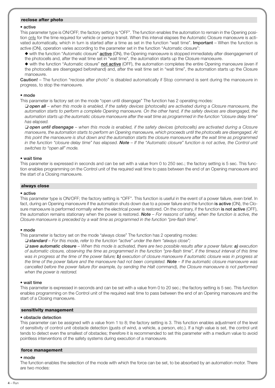#### **reclose after photo**

#### • **active**

This parameter type is ON/OFF; the factory setting is "OFF". The function enables the automation to remain in the Opening position only for the time required for vehicle or person transit. When this interval elapses the Automatic Closure manoeuvre is activated automatically, which in turn is started after a time as set in the function "wait time". **Important** – When the function is active (ON), operation varies according to the parameter set in the function "Automatic closure":

◆ with the function "Automatic closure" **active** (ON), the Opening manoeuvre is stopped immediately after disengagement of the photocells and, after the wait time set in "wait time", the automation starts up the Closure manoeuvre.

◆ with the function "Automatic closure" **not active** (OFF), the automation completes the entire Opening manoeuvre (even if the photocells are disengaged beforehand) and, after the wait time set in "wait time", the automation starts up the Closure manoeuvre.

**Caution!** – The function "reclose after photo" is disabled automatically if Stop command is sent during the manoeuvre in progress, to stop the manoeuvre.

#### • **mode**

This parameter is factory set on the mode "open until disengage" The function has 2 operating modes:

❏ *open all – when this mode is enabled, if the safety devices (photocells) are activated during a Closure manoeuvre, the automation starts to perform a complete Opening manoeuvre. On the other hand, if the safety devices are disengaged, the automation starts up the automatic closure manoeuvre after the wait time as programmed in the function "closure delay time" has elapsed.*

❏ *open until disengage – when this mode is enabled, if the safety devices (photocells) are activated during a Closure manoeuvre, the automation starts to perform an Opening manoeuvre, which proceeds until the photocells are disengaged. At this point the manoeuvre is shut down and the automation starts the closure manoeuvre after the wait time as programmed in the function "closure delay time" has elapsed. Note – If the "Automatic closure" function is not active, the Control unit switches to "open all" mode.*

#### • **wait time**

This parameter is expressed in seconds and can be set with a value from 0 to 250 sec.; the factory setting is 5 sec. This function enables programming on the Control unit of the required wait time to pass between the end of an Opening manoeuvre and the start of a Closing manoeuvre.

#### **always close**

#### • **active**

This parameter type is ON/OFF; the factory setting is "OFF". This function is useful in the event of a power failure, even brief. In fact, during an Opening manoeuvre if the automation shuts down due to a power failure and the function **is active** (ON), the Closure manoeuvre is performed normally when the electrical power is restored. On the contrary, if the function **is not active** (OFF), the automation remains stationary when the power is restored. *Note – For reasons of safety, when the function is active, the Closure manoeuvre is preceded by a wait time as programmed in the function "pre-flash time".*

#### • **mode**

This parameter is factory set on the mode "always close" The function has 2 operating modes:

❏ *standard – For this mode, refer to the function "active" under the item "always close";*

❏ *save automatic closure – When this mode is activated, there are two possible results after a power failure: a) execution of automatic closure, observing the time as programmed in the function "pre-flash time", if the timeout interval of this time was in progress at the time of the power failure; b) execution of closure manoeuvre if automatic closure was in progress at the time of the power failure and the manoeuvre had not been completed. Note – If the automatic closure manoeuvre was cancelled before the power failure (for example, by sending the Halt command), the Closure manoeuvre is not performed when the power is restored.*

#### • **wait time**

This parameter is expressed in seconds and can be set with a value from 0 to 20 sec.; the factory setting is 5 sec. This function enables programming on the Control unit of the required wait time to pass between the end of an Opening manoeuvre and the start of a Closing manoeuvre.

#### **sensitivity management**

#### • **obstacle detection**

This parameter can be assigned with a value from 1 to 8; the factory setting is 3. This function enables adjustment of the level of sensitivity of control unit obstacle detection (gusts of wind, a vehicle, a person, etc.). If a high value is set, the control unit tends to detect even the smallest of obstacles; therefore it is recommended to set this parameter with a medium value to avoid pointless interventions of the safety systems during execution of a manoeuvre.

#### **force management**

#### • **mode**

The function enables the selection of the mode with which the force can be set, to be absorbed by an automation motor. There are two modes: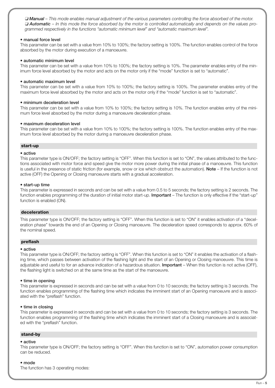❏ *Manual – This mode enables manual adjustment of the various parameters controlling the force absorbed of the motor.* ❏ *Automatic – In this mode the force absorbed by the motor is controlled automatically and depends on the values programmed respectively in the functions "automatic minimum level" and "automatic maximum level".*

#### • **manual force level**

This parameter can be set with a value from 10% to 100%; the factory setting is 100%. The function enables control of the force absorbed by the motor during execution of a manoeuvre.

#### • **automatic minimum level**

This parameter can be set with a value from 10% to 100%; the factory setting is 10%. The parameter enables entry of the minimum force level absorbed by the motor and acts on the motor only if the "mode" function is set to "automatic".

#### • **automatic maximum level**

This parameter can be set with a value from 10% to 100%; the factory setting is 100%. The parameter enables entry of the maximum force level absorbed by the motor and acts on the motor only if the "mode" function is set to "automatic".

#### • **minimum deceleration level**

This parameter can be set with a value from 10% to 100%; the factory setting is 10%. The function enables entry of the minimum force level absorbed by the motor during a manoeuvre deceleration phase.

#### • **maximum deceleration level**

This parameter can be set with a value from 10% to 100%; the factory setting is 100%. The function enables entry of the maximum force level absorbed by the motor during a manoeuvre deceleration phase.

#### **start-up**

#### • **active**

This parameter type is ON/OFF; the factory setting is "OFF". When this function is set to "ON", the values attributed to the functions associated with motor force and speed give the motor more power during the initial phase of a manoeuvre. This function is useful in the presence of static friction (for example, snow or ice which obstruct the automation). **Note** – If the function is not active (OFF) the Opening or Closing manoeuvre starts with a gradual acceleration.

#### • **start-up time**

This parameter is expressed in seconds and can be set with a value from 0.5 to 5 seconds; the factory setting is 2 seconds. The function enables programming of the duration of initial motor start-up. **Important** – The function is only effective if the "start-up" function is enabled (ON).

#### **deceleration**

This parameter type is ON/OFF; the factory setting is "OFF". When this function is set to "ON" it enables activation of a "deceleration phase" towards the end of an Opening or Closing manoeuvre. The deceleration speed corresponds to approx. 60% of the nominal speed.

#### **preflash**

#### • **active**

This parameter type is ON/OFF; the factory setting is "OFF". When this function is set to "ON" it enables the activation of a flashing time, which passes between activation of the flashing light and the start of an Opening or Closing manoeuvre. This time is adjustable and useful to for an advance indication of a hazardous situation. **Important** – When this function is not active (OFF), the flashing light is switched on at the same time as the start of the manoeuvre.

#### • **time in opening**

This parameter is expressed in seconds and can be set with a value from 0 to 10 seconds; the factory setting is 3 seconds. The function enables programming of the flashing time which indicates the imminent start of an Opening manoeuvre and is associated with the "preflash" function.

#### • **time in closing**

This parameter is expressed in seconds and can be set with a value from 0 to 10 seconds; the factory setting is 3 seconds. The function enables programming of the flashing time which indicates the imminent start of a Closing manoeuvre and is associated with the "preflash" function.

#### **stand-by**

#### • **active**

This parameter type is ON/OFF; the factory setting is "OFF". When this function is set to "ON", automation power consumption can be reduced.

#### • **mode**

The function has 3 operating modes: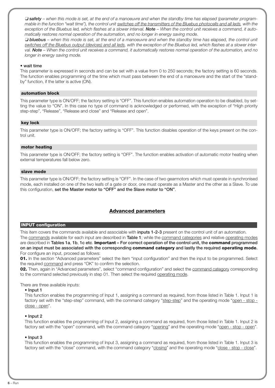❏ *safety – when this mode is set, at the end of a manoeuvre and when the standby time has elapsed (parameter programmable in the function "wait time"), the control unit switches off the transmitters of the Bluebus photocells and all leds, with the* exception of the Bluebus led, which flashes at a slower interval. **Note** – When the control unit receives a command, it auto*matically restores normal operation of the automation, and no longer in energy saving mode.*

❏ *bluebus – when this mode is set, at the end of a manoeuvre and when the standby time has elapsed, the control unit switches off the Bluebus output (devices) and all leds, with the exception of the Bluebus led, which flashes at a slower interval. Note – When the control unit receives a command, it automatically restores normal operation of the automation, and no longer in energy saving mode.*

#### • **wait time**

This parameter is expressed in seconds and can be set with a value from 0 to 250 seconds; the factory setting is 60 seconds. The function enables programming of the time which must pass between the end of a manoeuvre and the start of the "standby" function, if the latter is active (ON).

#### **automation block**

This parameter type is ON/OFF; the factory setting is "OFF". This function enables automation operation to be disabled, by setting the value to "ON". In this case no type of command is acknowledged or performed, with the exception of "High priority step-step", "Release", "Release and close" and "Release and open".

#### **key lock**

This parameter type is ON/OFF; the factory setting is "OFF". This function disables operation of the keys present on the control unit.

#### **motor heating**

This parameter type is ON/OFF; the factory setting is "OFF". The function enables activation of automatic motor heating when external temperatures fall below zero.

#### **slave mode**

This parameter type is ON/OFF; the factory setting is "OFF". In the case of two gearmotors which must operate in synchronised mode, each installed on one of the two leafs of a gate or door, one must operate as a Master and the other as a Slave. To use this configuration, **set the Master motor to "OFF" and the Slave motor to "ON"**.

# **Advanced parameters**

#### **INPUT configuration**

This item covers the commands available and associable with **inputs 1-2-3** present on the control unit of an automation.

The commands available for each input are described in **Table 1**; while the command categories and relative operating modes are described in **Tables 1a**, **1b**, **1c etc**. **Important – For correct operation of the control unit, the command programmed on an input must be associated with the corresponding command category and lastly the required operating mode.** For configure an input, proceed as follows:

**01.** In the section "Advanced parameters" select the item "input configuration" and then the input to be programmed. Select the required command and press "OK" to confirm the selection.

**02.** Then, again in "Advanced parameters", select "command configuration" and select the command category corresponding to the command selected previously in step 01. Then select the required operating mode.

#### There are three available inputs:

#### • **Input 1**

This function enables the programming of Input 1, assigning a command as required, from those listed in Table 1. Input 1 is factory set with the "step-step" command, with the command category "step-step" and the operating mode "open - stop close - open".

#### • **Input 2**

This function enables the programming of Input 2, assigning a command as required, from those listed in Table 1. Input 2 is factory set with the "open" command, with the command category "opening" and the operating mode "open - stop - open".

#### • **Input 3**

This function enables the programming of Input 3, assigning a command as required, from those listed in Table 1. Input 3 is factory set with the "close" command, with the command category "closing" and the operating mode "close - stop - close".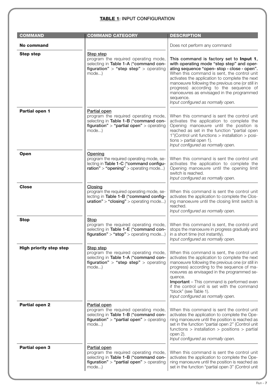# **TABLE 1: INPUT CONFIGURATION**

| <b>COMMAND</b>                 | <b>COMMAND CATEGORY</b>                                                                                                                                      | <b>DESCRIPTION</b>                                                                                                                                                                                                                                                                                                                                                                                                                  |
|--------------------------------|--------------------------------------------------------------------------------------------------------------------------------------------------------------|-------------------------------------------------------------------------------------------------------------------------------------------------------------------------------------------------------------------------------------------------------------------------------------------------------------------------------------------------------------------------------------------------------------------------------------|
| <b>No command</b>              |                                                                                                                                                              | Does not perform any command                                                                                                                                                                                                                                                                                                                                                                                                        |
| <b>Step step</b>               | Step step<br>program the required operating mode,<br>selecting in Table 1-A ("command con-<br>figuration" > "step step" > operating<br>mode)                 | This command is factory set to Input 1,<br>with operating mode "step step" and oper-<br>ating sequence "open- stop - close - open".<br>When this command is sent, the control unit<br>activates the application to complete the next<br>manoeuvre following the previous one (or still in<br>progress) according to the sequence of<br>manoeuvres as envisaged in the programmed<br>sequence.<br>Input configured as normally open. |
| Partial open 1                 | <b>Partial open</b><br>program the required operating mode,<br>selecting in Table 1-B ("command con-<br>figuration" > "partial open" > operating<br>$mode$ ) | When this command is sent the control unit<br>activates the application to complete the<br>Opening manoeuvre until the position is<br>reached as set in the function "partial open<br>1"(Control unit functions > installation > posi-<br>tions $>$ partial open 1).<br>Input configured as normally open.                                                                                                                          |
| <b>Open</b>                    | Opening<br>program the required operating mode, se-<br>lecting in Table 1-C ("command configu-<br>$ration" > "opening" > operating mode$                     | When this command is sent the control unit<br>activates the application to complete the<br>Opening manoeuvre until the opening limit<br>switch is reached.<br>Input configured as normally open.                                                                                                                                                                                                                                    |
| <b>Close</b>                   | <b>Closing</b><br>program the required operating mode, se-<br>lecting in Table 1-B ("command config-<br>$uration$ " > "closing" > operating mode)            | When this command is sent the control unit<br>activates the application to complete the Clos-<br>ing manoeuvre until the closing limit switch is<br>reached.<br>Input configured as normally open.                                                                                                                                                                                                                                  |
| <b>Stop</b>                    | <b>Stop</b><br>program the required operating mode,<br>selecting in Table 1-E ("command con-<br>$figuration" > "stop" > operating mode)$                     | When this command is sent, the control unit<br>stops the manoeuvre in progress gradually and<br>in a short time (not instantly).<br>Input configured as normally open.                                                                                                                                                                                                                                                              |
| <b>High priority step step</b> | Step step<br>program the required operating mode,<br>selecting in Table 1-A ("command con-<br>figuration" > "step step" > operating<br>mode)                 | When this command is sent, the control unit<br>activates the application to complete the next<br>manoeuvre following the previous one (or still in<br>progress) according to the sequence of ma-<br>noeuvres as envisaged in the programmed se-<br>quence.<br><b>Important</b> – This command is performed even<br>if the control unit is set with the command<br>"block" (see Table 1).<br>Input configured as normally open.      |
| <b>Partial open 2</b>          | Partial open<br>program the required operating mode,<br>selecting in Table 1-B ("command con-<br>figuration" > "partial open" > operating<br>mode)           | When this command is sent the control unit<br>activates the application to complete the Ope-<br>ning manoeuvre until the position is reached as<br>set in the function "partial open 2" (Control unit<br>functions $>$ installation $>$ positions $>$ partial<br>open 2).<br>Input configured as normally open.                                                                                                                     |
| Partial open 3                 | Partial open<br>program the required operating mode,<br>selecting in Table 1-B ("command con-<br>figuration" > "partial open" > operating<br>mode)           | When this command is sent the control unit<br>activates the application to complete the Ope-<br>ning manoeuvre until the position is reached as<br>set in the function "partial open 3" (Control unit                                                                                                                                                                                                                               |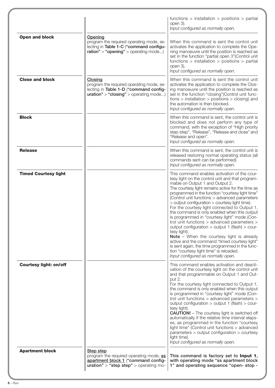|                               |                                                                                                                                                 | functions $>$ installation $>$ positions $>$ partial<br>open 3).<br>Input configured as normally open.                                                                                                                                                                                                                                                                                                                                                                                                                                                                                                                                                                                                                                                                                                                                               |
|-------------------------------|-------------------------------------------------------------------------------------------------------------------------------------------------|------------------------------------------------------------------------------------------------------------------------------------------------------------------------------------------------------------------------------------------------------------------------------------------------------------------------------------------------------------------------------------------------------------------------------------------------------------------------------------------------------------------------------------------------------------------------------------------------------------------------------------------------------------------------------------------------------------------------------------------------------------------------------------------------------------------------------------------------------|
| Open and block                | Opening<br>program the required operating mode, se-<br>lecting in Table 1-C ("command configu-<br>$ration" > "opening" > operating mode$        | When this command is sent the control unit<br>activates the application to complete the Ope-<br>ning manoeuvre until the position is reached as<br>set in the function "partial open 3" (Control unit<br>functions $>$ installation $>$ positions $>$ partial<br>open 3).<br>Input configured as normally open.                                                                                                                                                                                                                                                                                                                                                                                                                                                                                                                                      |
| <b>Close and block</b>        | <b>Closing</b><br>program the required operating mode, se-<br>lecting in Table 1-D ("command config-<br>$uration" > "closing" > operating mode$ | When this command is sent the control unit<br>activates the application to complete the Clos-<br>ing manoeuvre until the position is reached as<br>set in the function "closing" (Control unit func-<br>$tions$ > installation > positions > closing) and<br>the automation is then blocked.<br>Input configured as normally open.                                                                                                                                                                                                                                                                                                                                                                                                                                                                                                                   |
| <b>Block</b>                  |                                                                                                                                                 | When this command is sent, the control unit is<br>blocked and does not perform any type of<br>command, with the exception of "High priority<br>step-step", "Release", "Release and close" and<br>"Release and open".<br>Input configured as normally open.                                                                                                                                                                                                                                                                                                                                                                                                                                                                                                                                                                                           |
| <b>Release</b>                |                                                                                                                                                 | When this command is sent, the control unit is<br>released restoring normal operating status (all<br>commands sent can be performed)<br>Input configured as normally open.                                                                                                                                                                                                                                                                                                                                                                                                                                                                                                                                                                                                                                                                           |
| <b>Timed Courtesy light</b>   |                                                                                                                                                 | This command enables activation of the cour-<br>tesy light on the control unit and that program-<br>mable on Output 1 and Output 2.<br>The courtesy light remains active for the time as<br>programmed in the function "courtesy light time"<br>(Control unit functions > advanced parameters<br>> output configuration > courtesy light time).<br>For the courtesy light connected to Output 1,<br>the command is only enabled when this output<br>is programmed in "courtesy light" mode (Con-<br>trol unit functions > advanced parameters ><br>output configuration > output 1 (flash) > cour-<br>tesy light).<br>Note - When the courtesy light is already<br>active and the command "timed courtesy light"<br>is sent again, the time programmed in the func-<br>tion "courtesy light time" is reloaded.<br>Input configured as normally open. |
| <b>Courtesy light: on/off</b> |                                                                                                                                                 | This command enables activation and deacti-<br>vation of the courtesy light on the control unit<br>and that programmable on Output 1 and Out-<br>put 2.<br>For the courtesy light connected to Output 1,<br>the command is only enabled when this output<br>is programmed in "courtesy light" mode (Con-<br>trol unit functions > advanced parameters ><br>output configuration > output 1 (flash) > cour-<br>tesy light).<br><b>CAUTION!</b> - The courtesy light is switched off<br>automatically if the relative time interval elaps-<br>es, as programmed in the function "courtesy<br>light time" (Control unit functions > advanced<br>parameters > output configuration > courtesy<br>light time).<br>Input configured as normally open.                                                                                                      |
| <b>Apartment block</b>        | <b>Step step</b><br>program the required operating mode, ss<br>apartment block 1 ("command config-<br>$uration" > "step step" > operating mo-$  | This command is factory set to Input 1,<br>with operating mode "ss apartment block<br>1" and operating sequence "open- stop -                                                                                                                                                                                                                                                                                                                                                                                                                                                                                                                                                                                                                                                                                                                        |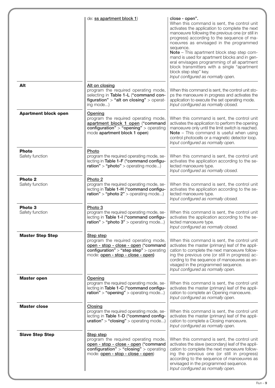|                                       | de: ss apartment block 1)                                                                                                                                                         | close - open".<br>When this command is sent, the control unit<br>activates the application to complete the next<br>manoeuvre following the previous one (or still in<br>progress) according to the sequence of ma-<br>noeuvres as envisaged in the programmed<br>sequence.<br>Note - This apartment block step step com-<br>mand is used for apartment blocks and in gen-<br>eral envisages programming of all apartment<br>block transmitters with a single "apartment<br>block step step" key.<br>Input configured as normally open. |
|---------------------------------------|-----------------------------------------------------------------------------------------------------------------------------------------------------------------------------------|----------------------------------------------------------------------------------------------------------------------------------------------------------------------------------------------------------------------------------------------------------------------------------------------------------------------------------------------------------------------------------------------------------------------------------------------------------------------------------------------------------------------------------------|
| Alt                                   | Alt on closing<br>program the required operating mode,<br>selecting in Table 1-L ("command con-<br>figuration" > "alt on closing" > operat-<br>ing mode)                          | When this command is sent, the control unit sto-<br>ps the manoeuvre in progress and activates the<br>application to execute the set operating mode.<br>Input configured as normally closed.                                                                                                                                                                                                                                                                                                                                           |
| <b>Apartment block open</b>           | <b>Opening</b><br>program the required operating mode,<br>apartment block 1 open ("command<br>configuration" > "opening" > operating<br>mode apartment block 1 open)              | When this command is sent, the control unit<br>activates the application to perform the opening<br>manoeuvre only until the limit switch is reached.<br>Note - This command is useful when using<br>control photocells or a magnetic detector loop.<br>Input configured as normally open.                                                                                                                                                                                                                                              |
| <b>Photo</b><br>Safety function       | Photo<br>program the required operating mode, se-<br>lecting in Table 1-F ("command configu-<br>ration" > "photo" > operating mode                                                | When this command is sent, the control unit<br>activates the application according to the se-<br>lected manoeuvre type.<br>Input configured as normally closed.                                                                                                                                                                                                                                                                                                                                                                        |
| Photo <sub>2</sub><br>Safety function | Photo <sub>2</sub><br>program the required operating mode, se-<br>lecting in Table 1-H ("command configu-<br>ration" > "photo $2"$ > operating mode)                              | When this command is sent, the control unit<br>activates the application according to the se-<br>lected manoeuvre type.<br>Input configured as normally closed.                                                                                                                                                                                                                                                                                                                                                                        |
| Photo 3<br>Safety function            | Photo 3<br>program the required operating mode, se-<br>lecting in Table 1-I ("command configu-<br>$ration" > "photo 3" > operating mode$                                          | When this command is sent, the control unit<br>activates the application according to the se-<br>lected manoeuvre type.<br>Input configured as normally closed.                                                                                                                                                                                                                                                                                                                                                                        |
| <b>Master Step Step</b>               | <b>Step step</b><br>program the required operating mode,<br>open - stop - close - open ("command<br>configuration" > "step step" > operating<br>mode: open - stop - close - open) | When this command is sent, the control unit<br>activates the master (primary) leaf of the appli-<br>cation to complete the next manoeuvre follow-<br>ing the previous one (or still in progress) ac-<br>cording to the sequence of manoeuvres as en-<br>visaged in the programmed sequence.<br>Input configured as normally open.                                                                                                                                                                                                      |
| <b>Master open</b>                    | Opening<br>program the required operating mode, se-<br>lecting in Table 1-C ("command configu-<br>$ration" > "opening" > operating mode$                                          | When this command is sent, the control unit<br>activates the master (primary) leaf of the appli-<br>cation to complete an Opening manoeuvre.<br>Input configured as normally open.                                                                                                                                                                                                                                                                                                                                                     |
| <b>Master close</b>                   | Closing<br>program the required operating mode, se-<br>lecting in Table 1-D ("command config-<br>$uration" > "closing" > operating mode$                                          | When this command is sent, the control unit<br>activates the master (primary) leaf of the appli-<br>cation to complete a Closing manoeuvre.<br>Input configured as normally open.                                                                                                                                                                                                                                                                                                                                                      |
| <b>Slave Step Step</b>                | Step step<br>program the required operating mode,<br>open - stop - close - open ("command<br>configuration" > "closing" > operating<br>mode: open - stop - close - open)          | When this command is sent, the control unit<br>activates the slave (secondary) leaf of the appli-<br>cation to complete the next manoeuvre follow-<br>ing the previous one (or still in progress)<br>according to the sequence of manoeuvres as<br>envisaged in the programmed sequence.<br>Input configured as normally open.                                                                                                                                                                                                         |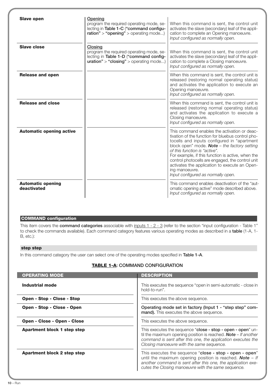| <b>Slave open</b>                       | Opening<br>program the required operating mode, se-<br>lecting in Table 1-C ("command configu-<br>$ration" > "opening" > operating mode$ | When this command is sent, the control unit<br>activates the slave (secondary) leaf of the appli-<br>cation to complete an Opening manoeuvre.<br>Input configured as normally open.                                                                                                                                                                                                                                                                          |
|-----------------------------------------|------------------------------------------------------------------------------------------------------------------------------------------|--------------------------------------------------------------------------------------------------------------------------------------------------------------------------------------------------------------------------------------------------------------------------------------------------------------------------------------------------------------------------------------------------------------------------------------------------------------|
| <b>Slave close</b>                      | Closing<br>program the required operating mode, se-<br>lecting in Table 1-D ("command config-<br>$uration" > "closing" > operating mode$ | When this command is sent, the control unit<br>activates the slave (secondary) leaf of the appli-<br>cation to complete a Closing manoeuvre.<br>Input configured as normally open.                                                                                                                                                                                                                                                                           |
| <b>Release and open</b>                 |                                                                                                                                          | When this command is sent, the control unit is<br>released (restoring normal operating status)<br>and activates the application to execute an<br>Opening manoeuvre.<br>Input configured as normally open.                                                                                                                                                                                                                                                    |
| <b>Release and close</b>                |                                                                                                                                          | When this command is sent, the control unit is<br>released (restoring normal operating status)<br>and activates the application to execute a<br>Closing manoeuvre.<br>Input configured as normally open.                                                                                                                                                                                                                                                     |
| <b>Automatic opening active</b>         |                                                                                                                                          | This command enables the activation or deac-<br>tivation of the function for bluebus control pho-<br>tocells and inputs configured in "apartment<br>block open" mode. <b>Note</b> $-$ the factory setting<br>of this function is "active".<br>For example, if this function is active, when the<br>control photocells are engaged, the control unit<br>activates the application to execute an Open-<br>ing manoeuvre.<br>Input configured as normally open. |
| <b>Automatic opening</b><br>deactivated |                                                                                                                                          | This command enables deactivation of the "aut-<br>omatic opening active" mode described above.<br>Input configured as normally open.                                                                                                                                                                                                                                                                                                                         |

# **COMMAND configuration**

This item covers the **command categories** associable with inputs 1 - 2 - 3 (refer to the section "input configuration - Table 1" to check the commands available). Each command category features various operating modes as described in a **table** (1-A, 1- B, etc.):

#### **step step**

In this command category the user can select one of the operating modes specified in **Table 1-A**.

# **TABLE 1-A: COMMAND CONFIGURATION**

| <b>OPERATING MODE</b>       | <b>DESCRIPTION</b>                                                                                                                                                                                                                                  |
|-----------------------------|-----------------------------------------------------------------------------------------------------------------------------------------------------------------------------------------------------------------------------------------------------|
| Industrial mode             | This executes the sequence "open in semi-automatic - close in<br>hold-to-run".                                                                                                                                                                      |
| Open - Stop - Close - Stop  | This executes the above sequence.                                                                                                                                                                                                                   |
| Open - Stop - Close - Open  | Operating mode set in factory (Input 1 - "step step" com-<br>mand). This executes the above sequence.                                                                                                                                               |
| Open - Close - Open - Close | This executes the above sequence.                                                                                                                                                                                                                   |
| Apartment block 1 step step | This executes the sequence "close - stop - open - open" un-<br>til the maximum opening position is reached. <b>Note</b> $-$ If another<br>command is sent after this one, the application executes the<br>Closing manoeuvre with the same sequence. |
| Apartment block 2 step step | This executes the sequence "close - stop - open - open"<br>until the maximum opening position is reached. <b>Note</b> $-$ If<br>another command is sent after this one, the application exe-<br>cutes the Closing manoeuvre with the same sequence. |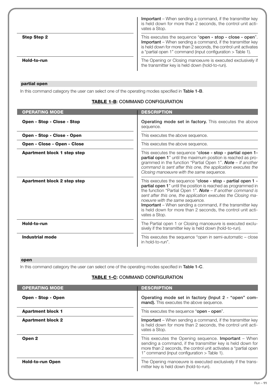|                    | <b>Important</b> – When sending a command, if the transmitter key<br>is held down for more than 2 seconds, the control unit acti-<br>vates a Stop.                                                                                                               |
|--------------------|------------------------------------------------------------------------------------------------------------------------------------------------------------------------------------------------------------------------------------------------------------------|
| <b>Step Step 2</b> | This executes the sequence "open - stop - close - open".<br><b>Important</b> – When sending a command, if the transmitter key<br>is held down for more than 2 seconds, the control unit activates<br>a "partial open 1" command (input configuration > Table 1). |
| Hold-to-run        | The Opening or Closing manoeuvre is executed exclusively if<br>the transmitter key is held down (hold-to-run).                                                                                                                                                   |

# **partial open**

In this command category the user can select one of the operating modes specified in **Table 1-B**.

# **TABLE 1-B: COMMAND CONFIGURATION**

| <b>OPERATING MODE</b>              | <b>DESCRIPTION</b>                                                                                                                                                                                                                                                                                                                                                                                                                                              |
|------------------------------------|-----------------------------------------------------------------------------------------------------------------------------------------------------------------------------------------------------------------------------------------------------------------------------------------------------------------------------------------------------------------------------------------------------------------------------------------------------------------|
| Open - Stop - Close - Stop         | Operating mode set in factory. This executes the above<br>sequence.                                                                                                                                                                                                                                                                                                                                                                                             |
| Open - Stop - Close - Open         | This executes the above sequence.                                                                                                                                                                                                                                                                                                                                                                                                                               |
| Open - Close - Open - Close        | This executes the above sequence.                                                                                                                                                                                                                                                                                                                                                                                                                               |
| <b>Apartment block 1 step step</b> | This executes the sequence "close - stop - partial open 1-<br>partial open 1" until the maximum position is reached as pro-<br>grammed in the function "Partial Open 1". <b>Note</b> $-$ If another<br>command is sent after this one, the application executes the<br>Closing manoeuvre with the same sequence.                                                                                                                                                |
| <b>Apartment block 2 step step</b> | This executes the sequence "close - stop - partial open 1 -<br>partial open 1" until the position is reached as programmed in<br>the function "Partial Open 1". <b>Note</b> $-$ If another command is<br>sent after this one, the application executes the Closing ma-<br>noeuvre with the same sequence.<br><b>Important</b> – When sending a command, if the transmitter key<br>is held down for more than 2 seconds, the control unit acti-<br>vates a Stop. |
| Hold-to-run                        | The Partial open 1 or Closing manoeuvre is executed exclu-<br>sively if the transmitter key is held down (hold-to-run).                                                                                                                                                                                                                                                                                                                                         |
| <b>Industrial mode</b>             | This executes the sequence "open in semi-automatic $-$ close<br>in hold-to-run".                                                                                                                                                                                                                                                                                                                                                                                |

# **open**

In this command category the user can select one of the operating modes specified in **Table 1-C**.

# **TABLE 1-C: COMMAND CONFIGURATION**

| <b>OPERATING MODE</b>    | <b>DESCRIPTION</b>                                                                                                                                                                                                                            |
|--------------------------|-----------------------------------------------------------------------------------------------------------------------------------------------------------------------------------------------------------------------------------------------|
| Open - Stop - Open       | Operating mode set in factory (Input 2 - "open" com-<br>mand). This executes the above sequence.                                                                                                                                              |
| <b>Apartment block 1</b> | This executes the sequence "open - open".                                                                                                                                                                                                     |
| <b>Apartment block 2</b> | <b>Important</b> – When sending a command, if the transmitter key<br>is held down for more than 2 seconds, the control unit acti-<br>vates a Stop.                                                                                            |
| Open <sub>2</sub>        | This executes the Opening sequence. <b>Important</b> $-$ When<br>sending a command, if the transmitter key is held down for<br>more than 2 seconds, the control unit activates a "partial open<br>1" command (input configuration > Table 1). |
| <b>Hold-to-run Open</b>  | The Opening manoeuvre is executed exclusively if the trans-<br>mitter key is held down (hold-to-run).                                                                                                                                         |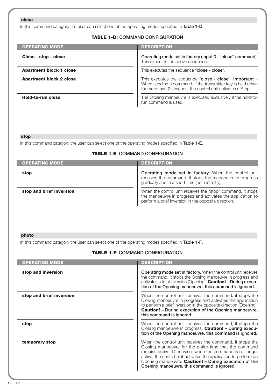# **close**

In this command category the user can select one of the operating modes specified in **Table 1-D**.

# **TABLE 1-D: COMMAND CONFIGURATION**

| <b>OPERATING MODE</b>          | <b>DESCRIPTION</b>                                                                                                                                                                    |
|--------------------------------|---------------------------------------------------------------------------------------------------------------------------------------------------------------------------------------|
| Close - stop - close           | Operating mode set in factory (Input 3 - "close" command).<br>This executes the above sequence.                                                                                       |
| <b>Apartment block 1 close</b> | This executes the sequence " <b>close - close</b> ".                                                                                                                                  |
| <b>Apartment block 2 close</b> | This executes the sequence "close - close". Important -<br>When sending a command, if the transmitter key is held down<br>for more than 2 seconds, the control unit activates a Stop. |
| Hold-to-run close              | The Closing manoeuvre is executed exclusively if the hold-to-<br>run command is used.                                                                                                 |

#### **stop**

In this command category the user can select one of the operating modes specified in **Table 1-E**.

# **TABLE 1-E: COMMAND CONFIGURATION**

| <b>OPERATING MODE</b>    | <b>DESCRIPTION</b>                                                                                                                                                                |
|--------------------------|-----------------------------------------------------------------------------------------------------------------------------------------------------------------------------------|
| stop                     | Operating mode set in factory. When the control unit<br>receives the command, it stops the manoeuvre in progress<br>gradually and in a short time (not instantly).                |
| stop and brief inversion | When the control unit receives the "stop" command, it stops<br>the manoeuvre in progress and activates the application to<br>perform a brief inversion in the opposite direction. |

# **photo**

In this command category the user can select one of the operating modes specified in **Table 1-F**.

| <b>OPERATING MODE</b>    | <b>DESCRIPTION</b>                                                                                                                                                                                                                                                                                                                                         |
|--------------------------|------------------------------------------------------------------------------------------------------------------------------------------------------------------------------------------------------------------------------------------------------------------------------------------------------------------------------------------------------------|
| stop and inversion       | <b>Operating mode set in factory.</b> When the control unit receives<br>the command, it stops the Closing manoeuvre in progress and<br>activates a total inversion (Opening). Caution! - During execu-<br>tion of the Opening manoeuvre, this command is ignored.                                                                                          |
| stop and brief inversion | When the control unit receives the command, it stops the<br>Closing manoeuvre in progress and activates the application<br>to perform a brief inversion in the opposite direction (Opening).<br><b>Caution!</b> - During execution of the Opening manoeuvre,<br>this command is ignored.                                                                   |
| stop                     | When the control unit receives the command, it stops the<br>Closing manoeuvre in progress. Caution! - During execu-<br>tion of the Opening manoeuvre, this command is ignored.                                                                                                                                                                             |
| temporary stop           | When the control unit receives the command, it stops the<br>Closing manoeuvre for the entire time that the command<br>remains active. Otherwise, when the command is no longer<br>active, the control unit activates the application to perform an<br>Opening manoeuvre. Caution! - During execution of the<br>Opening manoeuvre, this command is ignored. |

**TABLE 1-F: COMMAND CONFIGURATION**

# **12** – Run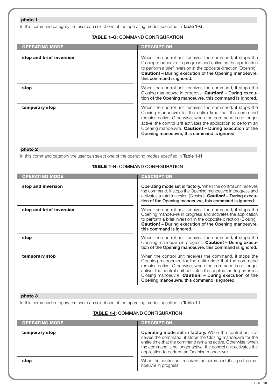#### **photo 1**

In this command category the user can select one of the operating modes specified in **Table 1-G**.

# **TABLE 1-G: COMMAND CONFIGURATION**

| <b>OPERATING MODE</b>    | <b>DESCRIPTION</b>                                                                                                                                                                                                                                                                                                                                         |
|--------------------------|------------------------------------------------------------------------------------------------------------------------------------------------------------------------------------------------------------------------------------------------------------------------------------------------------------------------------------------------------------|
| stop and brief inversion | When the control unit receives the command, it stops the<br>Closing manoeuvre in progress and activates the application<br>to perform a brief inversion in the opposite direction (Opening).<br><b>Caution!</b> - During execution of the Opening manoeuvre,<br>this command is ignored.                                                                   |
| stop                     | When the control unit receives the command, it stops the<br>Closing manoeuvre in progress. Caution! - During execu-<br>tion of the Opening manoeuvre, this command is ignored.                                                                                                                                                                             |
| temporary stop           | When the control unit receives the command, it stops the<br>Closing manoeuvre for the entire time that the command<br>remains active. Otherwise, when the command is no longer<br>active, the control unit activates the application to perform an<br>Opening manoeuvre. Caution! - During execution of the<br>Opening manoeuvre, this command is ignored. |

# **photo 2**

In this command category the user can select one of the operating modes specified in **Table 1-H**.

# **TABLE 1-H: COMMAND CONFIGURATION**

| <b>OPERATING MODE</b>    | <b>DESCRIPTION</b>                                                                                                                                                                                                                                                                                                                                        |
|--------------------------|-----------------------------------------------------------------------------------------------------------------------------------------------------------------------------------------------------------------------------------------------------------------------------------------------------------------------------------------------------------|
| stop and inversion       | <b>Operating mode set in factory.</b> When the control unit receives<br>the command, it stops the Opening manoeuvre in progress and<br>activates a total inversion (Closing). <b>Caution! - During execu-</b><br>tion of the Opening manoeuvre, this command is ignored.                                                                                  |
| stop and brief inversion | When the control unit receives the command, it stops the<br>Opening manoeuvre in progress and activates the application<br>to perform a brief inversion in the opposite direction (Closing).<br><b>Caution!</b> - During execution of the Opening manoeuvre,<br>this command is ignored.                                                                  |
| stop                     | When the control unit receives the command, it stops the<br>Opening manoeuvre in progress. Caution! - During execu-<br>tion of the Opening manoeuvre, this command is ignored.                                                                                                                                                                            |
| temporary stop           | When the control unit receives the command, it stops the<br>Opening manoeuvre for the entire time that the command<br>remains active. Otherwise, when the command is no longer<br>active, the control unit activates the application to perform a<br>Closing manoeuvre. Caution! - During execution of the<br>Opening manoeuvre, this command is ignored. |

#### **photo 3**

In this command category the user can select one of the operating modes specified in **Table 1-I**.

#### **TABLE 1-I: COMMAND CONFIGURATION**

| <b>OPERATING MODE</b> | <b>DESCRIPTION</b>                                                                                                                                                                                                                                                                                        |
|-----------------------|-----------------------------------------------------------------------------------------------------------------------------------------------------------------------------------------------------------------------------------------------------------------------------------------------------------|
| temporary stop        | Operating mode set in factory. When the control unit re-<br>ceives the command, it stops the Closing manoeuvre for the<br>entire time that the command remains active. Otherwise, when<br>the command is no longer active, the control unit activates the<br>application to perform an Opening manoeuvre. |
| stop                  | When the control unit receives the command, it stops the ma-<br>noeuvre in progress.                                                                                                                                                                                                                      |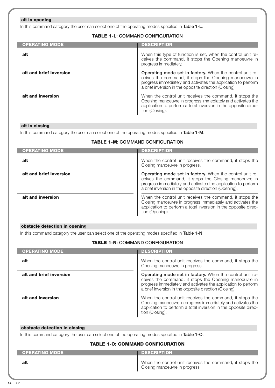# **alt in opening**

In this command category the user can select one of the operating modes specified in **Table 1-L**.

# **TABLE 1-L: COMMAND CONFIGURATION**

| <b>OPERATING MODE</b>   | <b>DESCRIPTION</b>                                                                                                                                                                                                                           |
|-------------------------|----------------------------------------------------------------------------------------------------------------------------------------------------------------------------------------------------------------------------------------------|
| alt                     | When this type of function is set, when the control unit re-<br>ceives the command, it stops the Opening manoeuvre in<br>progress immediately.                                                                                               |
| alt and brief inversion | Operating mode set in factory. When the control unit re-<br>ceives the command, it stops the Opening manoeuvre in<br>progress immediately and activates the application to perform<br>a brief inversion in the opposite direction (Closing). |
| alt and inversion       | When the control unit receives the command, it stops the<br>Opening manoeuvre in progress immediately and activates the<br>application to perform a total inversion in the opposite direc-<br>tion (Closing).                                |

#### **alt in closing**

In this command category the user can select one of the operating modes specified in **Table 1-M**.

#### **TABLE 1-M: COMMAND CONFIGURATION**

| <b>OPERATING MODE</b>   | <b>DESCRIPTION</b>                                                                                                                                                                                                                           |
|-------------------------|----------------------------------------------------------------------------------------------------------------------------------------------------------------------------------------------------------------------------------------------|
| alt                     | When the control unit receives the command, it stops the<br>Closing manoeuvre in progress.                                                                                                                                                   |
| alt and brief inversion | Operating mode set in factory. When the control unit re-<br>ceives the command, it stops the Closing manoeuvre in<br>progress immediately and activates the application to perform<br>a brief inversion in the opposite direction (Opening). |
| alt and inversion       | When the control unit receives the command, it stops the<br>Closing manoeuvre in progress immediately and activates the<br>application to perform a total inversion in the opposite direc-<br>tion (Opening).                                |

#### **obstacle detection in opening**

In this command category the user can select one of the operating modes specified in **Table 1-N**.

# **TABLE 1-N: COMMAND CONFIGURATION**

| <b>OPERATING MODE</b>   | <b>DESCRIPTION</b>                                                                                                                                                                                                                           |
|-------------------------|----------------------------------------------------------------------------------------------------------------------------------------------------------------------------------------------------------------------------------------------|
| alt                     | When the control unit receives the command, it stops the<br>Opening manoeuvre in progress.                                                                                                                                                   |
| alt and brief inversion | Operating mode set in factory. When the control unit re-<br>ceives the command, it stops the Opening manoeuvre in<br>progress immediately and activates the application to perform<br>a brief inversion in the opposite direction (Closing). |
| alt and inversion       | When the control unit receives the command, it stops the<br>Opening manoeuvre in progress immediately and activates the<br>application to perform a total inversion in the opposite direc-<br>tion (Closing).                                |

#### **obstacle detection in closing**

In this command category the user can select one of the operating modes specified in **Table 1-O**.

# **TABLE 1-O: COMMAND CONFIGURATION**

| <b>OPERATING MODE</b> | <b>DESCRIPTION</b>                                                                         |
|-----------------------|--------------------------------------------------------------------------------------------|
| alt                   | When the control unit receives the command, it stops the<br>Closing manoeuvre in progress. |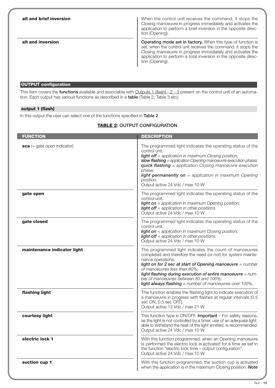| alt and brief inversion | When the control unit receives the command, it stops the<br>Closing manoeuvre in progress immediately and activates the<br>application to perform a brief inversion in the opposite direc-<br>tion (Opening).                                                                             |
|-------------------------|-------------------------------------------------------------------------------------------------------------------------------------------------------------------------------------------------------------------------------------------------------------------------------------------|
| alt and inversion       | <b>Operating mode set in factory.</b> When this type of function is<br>set, when the control unit receives the command, it stops the<br>Closing manoeuvre in progress immediately and activates the<br>application to perform a total inversion in the opposite direc-<br>tion (Opening). |

#### **OUTPUT configuration**

This item covers the **functions** available and associable with Outputs 1 (flash) - 2 - 3 present on the control unit of an automation. Each output has various functions as described in a **table** (Table 2, Table 3 etc):

#### **output 1 (flash)**

In this output the user can select one of the functions specified in **Table 2**.

#### **TABLE 2: OUTPUT CONFIGURATION**

| <b>FUNCTION</b>               | <b>DESCRIPTION</b>                                                                                                                                                                                                                                                                                                                                                                                          |
|-------------------------------|-------------------------------------------------------------------------------------------------------------------------------------------------------------------------------------------------------------------------------------------------------------------------------------------------------------------------------------------------------------------------------------------------------------|
| $sca$ (= gate open indicator) | The programmed light indicates the operating status of the<br>control unit.<br><b>light off</b> = application in maximum Closing position;<br>slow flashing = application Opening manoeuvre execution phase;<br><b>quick flashing</b> = application Closing manoeuvre execution<br>phase:<br>light permanently on = application in maximum Opening<br>position.<br>Output active 24 Vdc / max 10 W          |
| gate open                     | The programmed light indicates the operating status of the<br>control unit.<br>light on = application in maximum Opening position;<br><b>light off</b> = application in other positions.<br>Output active 24 Vdc / max 10 W                                                                                                                                                                                 |
| gate closed                   | The programmed light indicates the operating status of the<br>control unit.<br><b>light on</b> = application in maximum Closing position;<br><b>light off</b> = application in other positions.<br>Output active 24 Vdc / max 10 W                                                                                                                                                                          |
| maintenance indicator light   | The programmed light indicates the count of manoeuvres<br>completed and therefore the need (or not) for system mainte-<br>nance operations.<br>light on for 2 sec at start of Opening manoeuvre = number<br>of manoeuvres less than 80%;<br>light flashing during execution of entire manoeuvre = num-<br>ber of manoeuvres between 80 and 100%;<br>light always flashing = number of manoeuvres over 100%. |
| flashing light                | This function enables the flashing light to indicate execution of<br>a manoeuvre in progress with flashes at regular intervals (0.5<br>sec ON, 0.5 sec OFF).<br>Output active 12 Vdc / max 21 W                                                                                                                                                                                                             |
| courtesy light                | This function type is ON/OFF. Important - For safety reasons,<br>as the light is not controlled by a timer, use of an adequate light,<br>able to withstand the heat of the light emitted, is recommended.<br>Output active 24 Vdc / max 10 W                                                                                                                                                                |
| electric lock 1               | With this function programmed, when an Opening manoeuvre<br>is performed the electric lock is activated for a time as set in<br>the function "electric lock time - output configuration".<br>Output active 24 Vdc / max 10 W                                                                                                                                                                                |
| suction cup 1                 | With this function programmed, the suction cup is activated<br>when the application is in the maximum Closing position. Note                                                                                                                                                                                                                                                                                |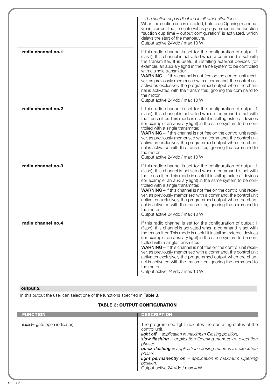|                    | - The suction cup is disabled in all other situations.<br>When the suction cup is disabled, before an Opening manoeu-<br>vre is started, the time interval as programmed in the function<br>"suction cup time - output configuration" is activated, which<br>delays the start of the manoeuvre.<br>Output active 24Vdc / max 10 W                                                                                                                                                                                                                                                                                                           |
|--------------------|---------------------------------------------------------------------------------------------------------------------------------------------------------------------------------------------------------------------------------------------------------------------------------------------------------------------------------------------------------------------------------------------------------------------------------------------------------------------------------------------------------------------------------------------------------------------------------------------------------------------------------------------|
| radio channel no.1 | If this radio channel is set for the configuration of output 1<br>(flash), this channel is activated when a command is set with<br>the transmitter. It is useful if installing external devices (for<br>example, an auxiliary light) in the same system to be controlled<br>with a single transmitter.<br>WARNING - If this channel is not free on the control unit recei-<br>ver, as previously memorised with a command, the control unit<br>activates exclusively the programmed output when the chan-<br>nel is activated with the transmitter, ignoring the command to<br>the motor.<br>Output active 24Vdc / max 10 W                 |
| radio channel no.2 | If this radio channel is set for the configuration of output 1<br>(flash), this channel is activated when a command is set with<br>the transmitter. This mode is useful if installing external devices<br>(for example, an auxiliary light) in the same system to be con-<br>trolled with a single transmitter.<br><b>WARNING</b> – If this channel is not free on the control unit recei-<br>ver, as previously memorised with a command, the control unit<br>activates exclusively the programmed output when the chan-<br>nel is activated with the transmitter, ignoring the command to<br>the motor.<br>Output active 24Vdc / max 10 W |
| radio channel no.3 | If this radio channel is set for the configuration of output 1<br>(flash), this channel is activated when a command is set with<br>the transmitter. This mode is useful if installing external devices<br>(for example, an auxiliary light) in the same system to be con-<br>trolled with a single transmitter.<br>WARNING - If this channel is not free on the control unit recei-<br>ver, as previously memorised with a command, the control unit<br>activates exclusively the programmed output when the chan-<br>nel is activated with the transmitter, ignoring the command to<br>the motor.<br>Output active 24Vdc / max 10 W        |
| radio channel no.4 | If this radio channel is set for the configuration of output 1<br>(flash), this channel is activated when a command is set with<br>the transmitter. This mode is useful if installing external devices<br>(for example, an auxiliary light) in the same system to be con-<br>trolled with a single transmitter.<br><b>WARNING</b> – If this channel is not free on the control unit recei-<br>ver, as previously memorised with a command, the control unit<br>activates exclusively the programmed output when the chan-<br>nel is activated with the transmitter, ignoring the command to<br>the motor.<br>Output active 24Vdc / max 10 W |

# **output 2**

In this output the user can select one of the functions specified in **Table 3**.

# **TABLE 3: OUTPUT CONFIGURATION**

| <b>FUNCTION</b>               | <b>DESCRIPTION</b>                                                                                                                                                                                                                                                                                                                                                                                          |
|-------------------------------|-------------------------------------------------------------------------------------------------------------------------------------------------------------------------------------------------------------------------------------------------------------------------------------------------------------------------------------------------------------------------------------------------------------|
| $sca$ (= gate open indicator) | The programmed light indicates the operating status of the<br>control unit.<br><b>light off</b> = application in maximum Closing position;<br>slow flashing = application Opening manoeuvre execution<br>phase:<br><b>quick flashing</b> = application Closing manoeuvre execution<br>phase:<br><b>light permanently on</b> = application in maximum Opening<br>position.<br>Output active 24 Vdc / max 4 W |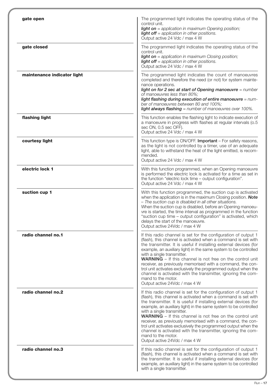| gate open                   | The programmed light indicates the operating status of the<br>control unit.<br><b>light on</b> = application in maximum Opening position;<br><b>light off</b> = application in other positions.<br>Output active 24 Vdc / max 4 W                                                                                                                                                                                                                                                                                                                                                                                                 |
|-----------------------------|-----------------------------------------------------------------------------------------------------------------------------------------------------------------------------------------------------------------------------------------------------------------------------------------------------------------------------------------------------------------------------------------------------------------------------------------------------------------------------------------------------------------------------------------------------------------------------------------------------------------------------------|
| gate closed                 | The programmed light indicates the operating status of the<br>control unit.<br><b>light on</b> = application in maximum Closing position;<br><b>light off</b> = application in other positions.<br>Output active 24 Vdc / max 4 W                                                                                                                                                                                                                                                                                                                                                                                                 |
| maintenance indicator light | The programmed light indicates the count of manoeuvres<br>completed and therefore the need (or not) for system mainte-<br>nance operations.<br>light on for 2 sec at start of Opening manoeuvre $=$ number<br>of manoeuvres less than 80%;<br>light flashing during execution of entire manoeuvre = num-<br>ber of manoeuvres between 80 and 100%;<br><b>light always flashing</b> = number of manoeuvres over 100%.                                                                                                                                                                                                              |
| flashing light              | This function enables the flashing light to indicate execution of<br>a manoeuvre in progress with flashes at regular intervals (o.5<br>sec ON, 0.5 sec OFF).<br>Output active 24 Vdc / max 4 W                                                                                                                                                                                                                                                                                                                                                                                                                                    |
| courtesy light              | This function type is ON/OFF. Important - For safety reasons,<br>as the light is not controlled by a timer, use of an adequate<br>light, able to withstand the heat of the light emitted, is recom-<br>mended.<br>Output active 24 Vdc / max 4 W                                                                                                                                                                                                                                                                                                                                                                                  |
| electric lock 1             | With this function programmed, when an Opening manoeuvre<br>is performed the electric lock is activated for a time as set in<br>the function "electric lock time - output configuration".<br>Output active 24 Vdc / max 4 W                                                                                                                                                                                                                                                                                                                                                                                                       |
| suction cup 1               | With this function programmed, the suction cup is activated<br>when the application is in the maximum Closing position. Note<br>- The suction cup is disabled in all other situations.<br>When the suction cup is disabled, before an Opening manoeu-<br>vre is started, the time interval as programmed in the function<br>"suction cup time - output configuration" is activated, which<br>delays the start of the manoeuvre.<br>Output active 24Vdc / max 4 W                                                                                                                                                                  |
| radio channel no.1          | If this radio channel is set for the configuration of output 1<br>(flash), this channel is activated when a command is set with<br>the transmitter. It is useful if installing external devices (for<br>example, an auxiliary light) in the same system to be controlled<br>with a single transmitter.<br><b>WARNING</b> - If this channel is not free on the control unit<br>receiver, as previously memorised with a command, the con-<br>trol unit activates exclusively the programmed output when the<br>channel is activated with the transmitter, ignoring the com-<br>mand to the motor.<br>Output active 24Vdc / max 4 W |
| radio channel no.2          | If this radio channel is set for the configuration of output 1<br>(flash), this channel is activated when a command is set with<br>the transmitter. It is useful if installing external devices (for<br>example, an auxiliary light) in the same system to be controlled<br>with a single transmitter.<br><b>WARNING</b> - If this channel is not free on the control unit<br>receiver, as previously memorised with a command, the con-<br>trol unit activates exclusively the programmed output when the<br>channel is activated with the transmitter, ignoring the com-<br>mand to the motor.<br>Output active 24Vdc / max 4 W |
| radio channel no.3          | If this radio channel is set for the configuration of output 1<br>(flash), this channel is activated when a command is set with<br>the transmitter. It is useful if installing external devices (for<br>example, an auxiliary light) in the same system to be controlled<br>with a single transmitter.                                                                                                                                                                                                                                                                                                                            |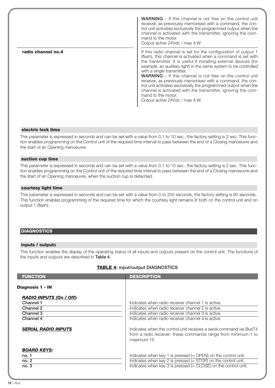**radio channel no.4 WARNING** – If this channel is not free on the control unit receiver, as previously memorised with a command, the control unit activates exclusively the programmed output when the channel is activated with the transmitter, ignoring the command to the motor. Output active 24Vdc / max 4 W If this radio channel is set for the configuration of output 1 (flash), this channel is activated when a command is set with the transmitter. It is useful if installing external devices (for example, an auxiliary light) in the same system to be controlled with a single transmitter. **WARNING** – If this channel is not free on the control unit receiver, as previously memorised with a command, the control unit activates exclusively the programmed output when the channel is activated with the transmitter, ignoring the command to the motor. Output active 24Vdc / max 4 W

#### **electric lock time**

This parameter is expressed in seconds and can be set with a value from 0.1 to 10 sec.; the factory setting is 2 sec. This function enables programming on the Control unit of the required time interval to pass between the end of a Closing manoeuvre and the start of an Opening manoeuvre.

#### **suction cup time**

This parameter is expressed in seconds and can be set with a value from 0.1 to 10 sec.; the factory setting is 2 sec. This function enables programming on the Control unit of the required time interval to pass between the end of a Closing manoeuvre and the start of an Opening manoeuvre, when the suction cup is detached.

#### **courtesy light time**

This parameter is expressed in seconds and can be set with a value from 0 to 250 seconds; the factory setting is 60 seconds. This function enables programming of the required time for which the courtesy light remains lit both on the control unit and on output 1 (flash).

#### **DIAGNOSTICS**

#### **inputs / outputs**

This function enables the display of the operating status of all inputs and outputs present on the control unit. The functions of the inputs and outputs are described in **Table 4**.

# **TABLE 4: input/output DIAGNOSTICS**

| <b>FUNCTION</b>                                                        | <b>DESCRIPTION</b>                                                                                                                                             |
|------------------------------------------------------------------------|----------------------------------------------------------------------------------------------------------------------------------------------------------------|
| Diagnosis 1 - IN                                                       |                                                                                                                                                                |
| <b>RADIO INPUTS (On / Off):</b><br>Channel 1<br>Channel 2<br>Channel 3 | Indicates when radio receiver channel 1 is active.<br>Indicates when radio receiver channel 2 is active.<br>Indicates when radio receiver channel 3 is active. |
| Channel 4                                                              | Indicates when radio receiver channel 4 is active.                                                                                                             |
| <b>SERIAL RADIO INPUTS</b>                                             | Indicates when the control unit receives a serial command via BusT4<br>from a radio receiver; these commands range from minimum 1 to<br>maximum 15.            |
| <b>BOARD KEYS:</b>                                                     |                                                                                                                                                                |
| no. 1                                                                  | Indicates when key 1 is pressed $(=$ OPEN $)$ on the control unit.                                                                                             |
| no. 2                                                                  | Indicates when key 2 is pressed $(= STOP)$ on the control unit.                                                                                                |
| no.3                                                                   | Indicates when key 3 is pressed $(=$ CLOSE) on the control unit.                                                                                               |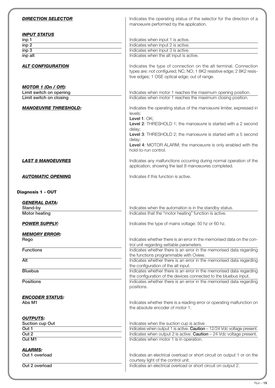| <b>DIRECTION SELECTOR</b>                                | Indicates the operating status of the selector for the direction of a<br>manoeuvre performed by the application.                                                                           |
|----------------------------------------------------------|--------------------------------------------------------------------------------------------------------------------------------------------------------------------------------------------|
| <b>INPUT STATUS</b>                                      |                                                                                                                                                                                            |
| inp 1                                                    | Indicates when input 1 is active.                                                                                                                                                          |
| inp 2                                                    | Indicates when input 2 is active.                                                                                                                                                          |
| $i$ np 3                                                 | Indicates when input 3 is active.                                                                                                                                                          |
| inp alt                                                  | Indicates when the alt input is active.                                                                                                                                                    |
| <b>ALT CONFIGURATION</b>                                 | Indicates the type of connection on the alt terminal. Connection<br>types are: not configured; NC; NO; 1 8K2 resistive edge; 2 8K2 resis-<br>tive edges; 1 OSE optical edge; out of range. |
| <b>MOTOR 1 (On / Off):</b>                               |                                                                                                                                                                                            |
| Limit switch on opening                                  | Indicates when motor 1 reaches the maximum opening position.                                                                                                                               |
| Limit switch on closing                                  | Indicates when motor 1 reaches the maximum closing position.                                                                                                                               |
|                                                          |                                                                                                                                                                                            |
| <b>MANOEUVRE THRESHOLD:</b>                              | Indicates the operating status of the manoeuvre limiter, expressed in<br>levels:<br>Level 1: OK;<br>Level 2: THRESHOLD 1; the manoeuvre is started with a 2 second<br>delay;               |
|                                                          | Level 3: THRESHOLD 2; the manoeuvre is started with a 5 second                                                                                                                             |
|                                                          | delay;<br>Level 4: MOTOR ALARM; the manoeuvre is only enabled with the<br>hold-to-run control.                                                                                             |
| <b>LAST 8 MANOEUVRES</b>                                 | Indicates any malfunctions occurring during normal operation of the<br>application, showing the last 8 manoeuvres completed.                                                               |
| <b>AUTOMATIC OPENING</b>                                 | Indicates if this function is active.                                                                                                                                                      |
| <b>GENERAL DATA:</b><br>Stand-by<br><b>Motor heating</b> | Indicates when the automation is in the standby status.<br>Indicates that the "motor heating" function is active.                                                                          |
| <b>POWER SUPPLY:</b>                                     | Indicates the type of mains voltage: 50 hz or 60 hz.                                                                                                                                       |
| <b>MEMORY ERROR:</b><br>Rego                             | Indicates whether there is an error in the memorised data on the con-                                                                                                                      |
|                                                          | trol unit regarding settable parameters.                                                                                                                                                   |
| <b>Functions</b>                                         | Indicates whether there is an error in the memorised data regarding                                                                                                                        |
|                                                          | the functions programmable with Oview.                                                                                                                                                     |
| Alt                                                      | Indicates whether there is an error in the memorised data regarding<br>the configuration of the alt input.                                                                                 |
| <b>Bluebus</b>                                           | Indicates whether there is an error in the memorised data regarding                                                                                                                        |
| <b>Positions</b>                                         | the configuration of the devices connected to the bluebus input.<br>Indicates whether there is an error in the memorised data regarding<br>positions.                                      |
|                                                          |                                                                                                                                                                                            |
| <b>ENCODER STATUS:</b><br>Abs M1                         | Indicates whether there is a reading error or operating malfunction on<br>the absolute encoder of motor 1.                                                                                 |
|                                                          |                                                                                                                                                                                            |
| <b>OUTPUTS:</b>                                          | Indicates when the suction cup is active.                                                                                                                                                  |
| Suction cup Out<br>Out <sub>1</sub>                      | Indicates when output 1 is active. Caution - 12/24 Vdc voltage present.                                                                                                                    |
| Out 2                                                    |                                                                                                                                                                                            |
| Out M1                                                   | Indicates when output 2 is active. Caution - 24 Vdc voltage present.<br>Indicates when motor 1 is in operation.                                                                            |
|                                                          |                                                                                                                                                                                            |
| <b>ALARMS:</b>                                           |                                                                                                                                                                                            |
| Out 1 overload                                           | Indicates an electrical overload or short circuit on output 1 or on the                                                                                                                    |
| Out 2 overload                                           | courtesy light of the control unit.<br>Indicates an electrical overload or short circuit on output 2.                                                                                      |
|                                                          |                                                                                                                                                                                            |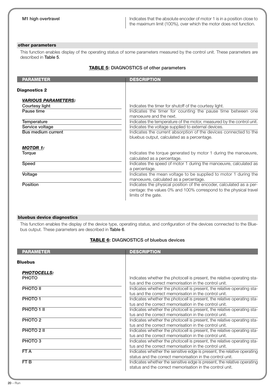**M1 high overtravel Indicates that the absolute encoder of motor 1 is in a position close to** the maximum limit (100%), over which the motor does not function.

#### **other parameters**

This function enables display of the operating status of some parameters measured by the control unit. These parameters are described in **Table 5**.

# **TABLE 5: DIAGNOSTICS of other parameters**

| <b>PARAMETER</b>           | <b>DESCRIPTION</b>                                                                                                                                               |
|----------------------------|------------------------------------------------------------------------------------------------------------------------------------------------------------------|
| <b>Diagnostics 2</b>       |                                                                                                                                                                  |
| <b>VARIOUS PARAMETERS:</b> |                                                                                                                                                                  |
| Courtesy light             | Indicates the timer for shutoff of the courtesy light.                                                                                                           |
| Pause time                 | Indicates the timer for counting the pause time between one<br>manoeuvre and the next.                                                                           |
| Temperature                | Indicates the temperature of the motor, measured by the control unit.                                                                                            |
| Service voltage            | Indicates the voltage supplied to external devices.                                                                                                              |
| Bus medium current         | Indicates the current absorption of the devices connected to the<br>bluebus output, calculated as a percentage.                                                  |
| <b>MOTOR 1:</b>            |                                                                                                                                                                  |
| Torque                     | Indicates the torque generated by motor 1 during the manoeuvre,<br>calculated as a percentage.                                                                   |
| Speed                      | Indicates the speed of motor 1 during the manoeuvre, calculated as<br>a percentage.                                                                              |
| Voltage                    | Indicates the mean voltage to be supplied to motor 1 during the<br>manoeuvre, calculated as a percentage.                                                        |
| Position                   | Indicates the physical position of the encoder, calculated as a per-<br>centage: the values 0% and 100% correspond to the physical travel<br>limits of the gate. |

#### **bluebus device diagnostics**

This function enables the display of the device type, operating status, and configuration of the devices connected to the Bluebus output. These parameters are described in **Table 6**.

# **TABLE 6: DIAGNOSTICS of bluebus devices**

| <b>PARAMETER</b>                   | <b>DESCRIPTION</b>                                                                                                                                                                        |
|------------------------------------|-------------------------------------------------------------------------------------------------------------------------------------------------------------------------------------------|
| <b>Bluebus</b>                     |                                                                                                                                                                                           |
| <b>PHOTOCELLS:</b><br><b>PHOTO</b> | Indicates whether the photocell is present, the relative operating sta-                                                                                                                   |
| <b>PHOTO II</b>                    | tus and the correct memorisation in the control unit.<br>Indicates whether the photocell is present, the relative operating sta-<br>tus and the correct memorisation in the control unit. |
| PHOTO <sub>1</sub>                 | Indicates whether the photocell is present, the relative operating sta-<br>tus and the correct memorisation in the control unit.                                                          |
| PHOTO 1 II                         | Indicates whether the photocell is present, the relative operating sta-<br>tus and the correct memorisation in the control unit.                                                          |
| PHOTO <sub>2</sub>                 | Indicates whether the photocell is present, the relative operating sta-<br>tus and the correct memorisation in the control unit.                                                          |
| PHOTO 2 II                         | Indicates whether the photocell is present, the relative operating sta-<br>tus and the correct memorisation in the control unit.                                                          |
| PHOTO <sub>3</sub>                 | Indicates whether the photocell is present, the relative operating sta-<br>tus and the correct memorisation in the control unit.                                                          |
| FT A                               | Indicates whether the sensitive edge is present, the relative operating<br>status and the correct memorisation in the control unit.                                                       |
| FT B                               | Indicates whether the sensitive edge is present, the relative operating<br>status and the correct memorisation in the control unit.                                                       |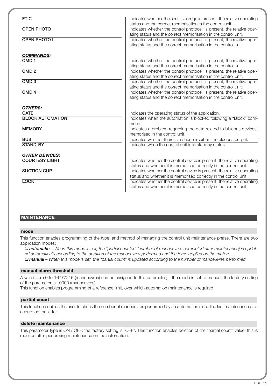| FT C                    | Indicates whether the sensitive edge is present, the relative operating<br>status and the correct memorisation in the control unit. |
|-------------------------|-------------------------------------------------------------------------------------------------------------------------------------|
| <b>OPEN PHOTO</b>       | Indicates whether the control photocell is present, the relative oper-                                                              |
|                         | ating status and the correct memorisation in the control unit.                                                                      |
| <b>OPEN PHOTO II</b>    | Indicates whether the control photocell is present, the relative oper-                                                              |
|                         | ating status and the correct memorisation in the control unit.                                                                      |
| <b>COMMANDS:</b>        |                                                                                                                                     |
| CMD <sub>1</sub>        | Indicates whether the control photocell is present, the relative oper-                                                              |
|                         | ating status and the correct memorisation in the control unit.                                                                      |
| CMD <sub>2</sub>        | Indicates whether the control photocell is present, the relative oper-                                                              |
|                         | ating status and the correct memorisation in the control unit.                                                                      |
| CMD <sub>3</sub>        | Indicates whether the control photocell is present, the relative oper-                                                              |
|                         | ating status and the correct memorisation in the control unit.                                                                      |
| CMD <sub>4</sub>        | Indicates whether the control photocell is present, the relative oper-                                                              |
|                         | ating status and the correct memorisation in the control unit.                                                                      |
| <b>OTHERS:</b>          |                                                                                                                                     |
| <b>GATE</b>             | Indicates the operating status of the application.                                                                                  |
| <b>BLOCK AUTOMATION</b> | Indicates when the automation is blocked following a "Block" com-                                                                   |
|                         | mand.                                                                                                                               |
| <b>MEMORY</b>           | Indicates a problem regarding the data related to bluebus devices,                                                                  |
|                         | memorised in the control unit.                                                                                                      |
| <b>BUS</b>              | Indicates whether there is a short circuit on the bluebus output.                                                                   |
| <b>STAND-BY</b>         | Indicates when the control unit is in standby status.                                                                               |
| <b>OTHER DEVICES:</b>   |                                                                                                                                     |
| <b>COURTESY LIGHT</b>   | Indicates whether the control device is present, the relative operating                                                             |
|                         | status and whether it is memorised correctly in the control unit.                                                                   |
| <b>SUCTION CUP</b>      | Indicates whether the control device is present, the relative operating                                                             |
|                         | status and whether it is memorised correctly in the control unit.                                                                   |
| <b>LOCK</b>             | Indicates whether the control device is present, the relative operating                                                             |
|                         | status and whether it is memorised correctly in the control unit.                                                                   |

#### **MAINTENANCE**

#### **mode**

This function enables programming of the type, and method of managing the control unit maintenance phase. There are two application modes:

❏ *automatic – When this mode is set, the "partial counter" (number of manoeuvres completed after maintenance) is updated automatically according to the duration of the manoeuvres performed and the force applied on the motor;* ❏ *manual – When this mode is set, the "partial count" is updated according to the number of manoeuvres performed.*

#### **manual alarm threshold**

A value from 0 to 16777215 (manoeuvres) can be assigned to this parameter; if the mode is set to manual, the factory setting of the parameter is 10000 (manoeuvres).

This function enables programming of a reference limit, over which automation maintenance is required.

#### **partial count**

This function enables the user to check the number of manoeuvres performed by an automation since the last maintenance procedure on the latter.

#### **delete maintenance**

This parameter type is ON / OFF; the factory setting is "OFF". This function enables deletion of the "partial count" value; this is required after performing maintenance on the automation.